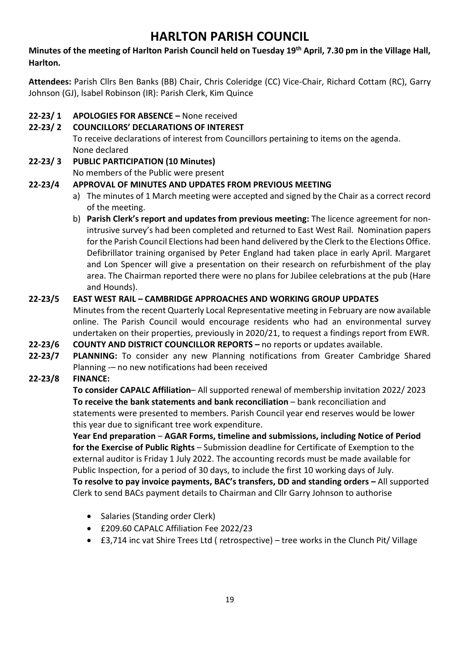# **HARLTON PARISH COUNCIL**

### **Minutes of the meeting of Harlton Parish Council held on Tuesday 19th April, 7.30 pm in the Village Hall, Harlton.**

**Attendees:** Parish Cllrs Ben Banks (BB) Chair, Chris Coleridge (CC) Vice-Chair, Richard Cottam (RC), Garry Johnson (GJ), lsabel Robinson (IR): Parish Clerk, Kim Quince

### **22-23/ 1 APOLOGIES FOR ABSENCE –** None received

## **22-23/ 2 COUNCILLORS' DECLARATIONS OF INTEREST**

To receive declarations of interest from Councillors pertaining to items on the agenda. None declared

# **22-23/ 3 PUBLIC PARTICIPATION (10 Minutes)**

No members of the Public were present

## **22-23/4 APPROVAL OF MINUTES AND UPDATES FROM PREVIOUS MEETING**

- a) The minutes of 1 March meeting were accepted and signed by the Chair as a correct record of the meeting.
- b) **Parish Clerk's report and updates from previous meeting:** The licence agreement for nonintrusive survey's had been completed and returned to East West Rail. Nomination papers for the Parish Council Elections had been hand delivered by the Clerk to the Elections Office. Defibrillator training organised by Peter England had taken place in early April. Margaret and Lon Spencer will give a presentation on their research on refurbishment of the play area. The Chairman reported there were no plans for Jubilee celebrations at the pub (Hare and Hounds).

## **22-23/5 EAST WEST RAIL – CAMBRIDGE APPROACHES AND WORKING GROUP UPDATES**

Minutes from the recent Quarterly Local Representative meeting in February are now available online. The Parish Council would encourage residents who had an environmental survey undertaken on their properties, previously in 2020/21, to request a findings report from EWR.

- **22-23/6 COUNTY AND DISTRICT COUNCILLOR REPORTS –** no reports or updates available.
- **22-23/7 PLANNING:** To consider any new Planning notifications from Greater Cambridge Shared Planning -– no new notifications had been received

### **22-23/8 FINANCE:**

**To consider CAPALC Affiliation**– All supported renewal of membership invitation 2022/ 2023 **To receive the bank statements and bank reconciliation** – bank reconciliation and statements were presented to members. Parish Council year end reserves would be lower this year due to significant tree work expenditure.

**Year End preparation** – **AGAR Forms, timeline and submissions, including Notice of Period for the Exercise of Public Rights** – Submission deadline for Certificate of Exemption to the external auditor is Friday 1 July 2022. The accounting records must be made available for Public Inspection, for a period of 30 days, to include the first 10 working days of July. **To resolve to pay invoice payments, BAC's transfers, DD and standing orders –** All supported Clerk to send BACs payment details to Chairman and Cllr Garry Johnson to authorise

- Salaries (Standing order Clerk)
- £209.60 CAPALC Affiliation Fee 2022/23
- £3,714 inc vat Shire Trees Ltd ( retrospective) tree works in the Clunch Pit/ Village